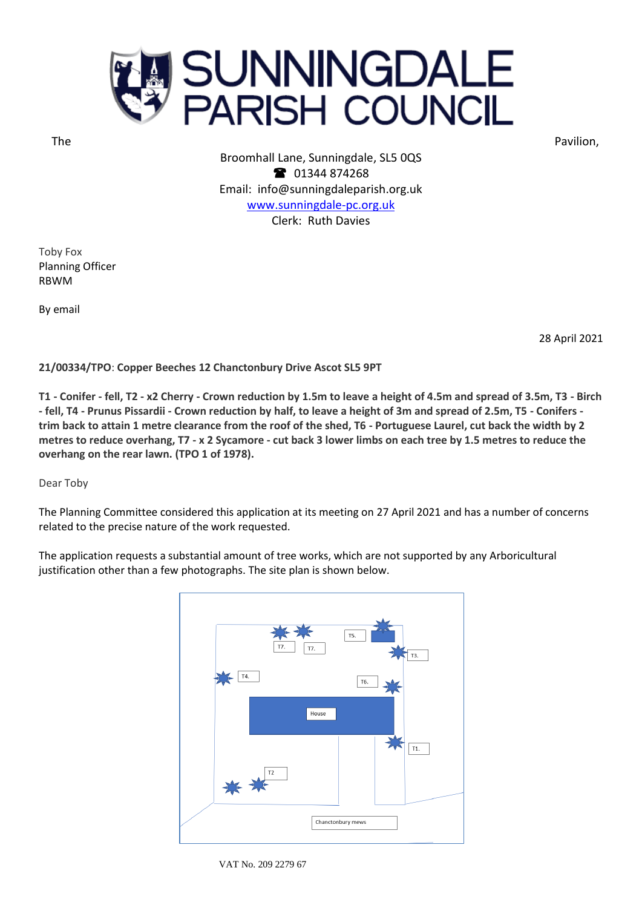

The **Research Contract Contract Contract Contract Contract Contract Contract Contract Contract Contract Contract Contract Contract Contract Contract Contract Contract Contract Contract Contract Contract Contract Contract C** 

Broomhall Lane, Sunningdale, SL5 0QS <sup>3</sup> 01344 874268 Email: info@sunningdaleparish.org.uk [www.sunningdale-pc.org.uk](http://www.sunningdale-pc.org.uk/) Clerk: Ruth Davies

Toby Fox Planning Officer RBWM

By email

28 April 2021

**21/00334/TPO**: **Copper Beeches 12 Chanctonbury Drive Ascot SL5 9PT**

**T1 - Conifer - fell, T2 - x2 Cherry - Crown reduction by 1.5m to leave a height of 4.5m and spread of 3.5m, T3 - Birch - fell, T4 - Prunus Pissardii - Crown reduction by half, to leave a height of 3m and spread of 2.5m, T5 - Conifers trim back to attain 1 metre clearance from the roof of the shed, T6 - Portuguese Laurel, cut back the width by 2 metres to reduce overhang, T7 - x 2 Sycamore - cut back 3 lower limbs on each tree by 1.5 metres to reduce the overhang on the rear lawn. (TPO 1 of 1978).**

Dear Toby

The Planning Committee considered this application at its meeting on 27 April 2021 and has a number of concerns related to the precise nature of the work requested.

The application requests a substantial amount of tree works, which are not supported by any Arboricultural justification other than a few photographs. The site plan is shown below.